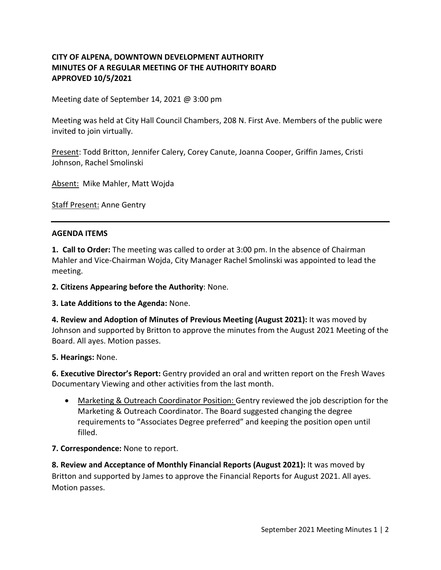# **CITY OF ALPENA, DOWNTOWN DEVELOPMENT AUTHORITY MINUTES OF A REGULAR MEETING OF THE AUTHORITY BOARD APPROVED 10/5/2021**

Meeting date of September 14, 2021 @ 3:00 pm

Meeting was held at City Hall Council Chambers, 208 N. First Ave. Members of the public were invited to join virtually.

Present: Todd Britton, Jennifer Calery, Corey Canute, Joanna Cooper, Griffin James, Cristi Johnson, Rachel Smolinski

Absent: Mike Mahler, Matt Wojda

**Staff Present: Anne Gentry** 

### **AGENDA ITEMS**

**1. Call to Order:** The meeting was called to order at 3:00 pm. In the absence of Chairman Mahler and Vice-Chairman Wojda, City Manager Rachel Smolinski was appointed to lead the meeting.

**2. Citizens Appearing before the Authority**: None.

**3. Late Additions to the Agenda:** None.

**4. Review and Adoption of Minutes of Previous Meeting (August 2021):** It was moved by Johnson and supported by Britton to approve the minutes from the August 2021 Meeting of the Board. All ayes. Motion passes.

**5. Hearings:** None.

**6. Executive Director's Report:** Gentry provided an oral and written report on the Fresh Waves Documentary Viewing and other activities from the last month.

• Marketing & Outreach Coordinator Position: Gentry reviewed the job description for the Marketing & Outreach Coordinator. The Board suggested changing the degree requirements to "Associates Degree preferred" and keeping the position open until filled.

### **7. Correspondence:** None to report.

**8. Review and Acceptance of Monthly Financial Reports (August 2021):** It was moved by Britton and supported by James to approve the Financial Reports for August 2021. All ayes. Motion passes.